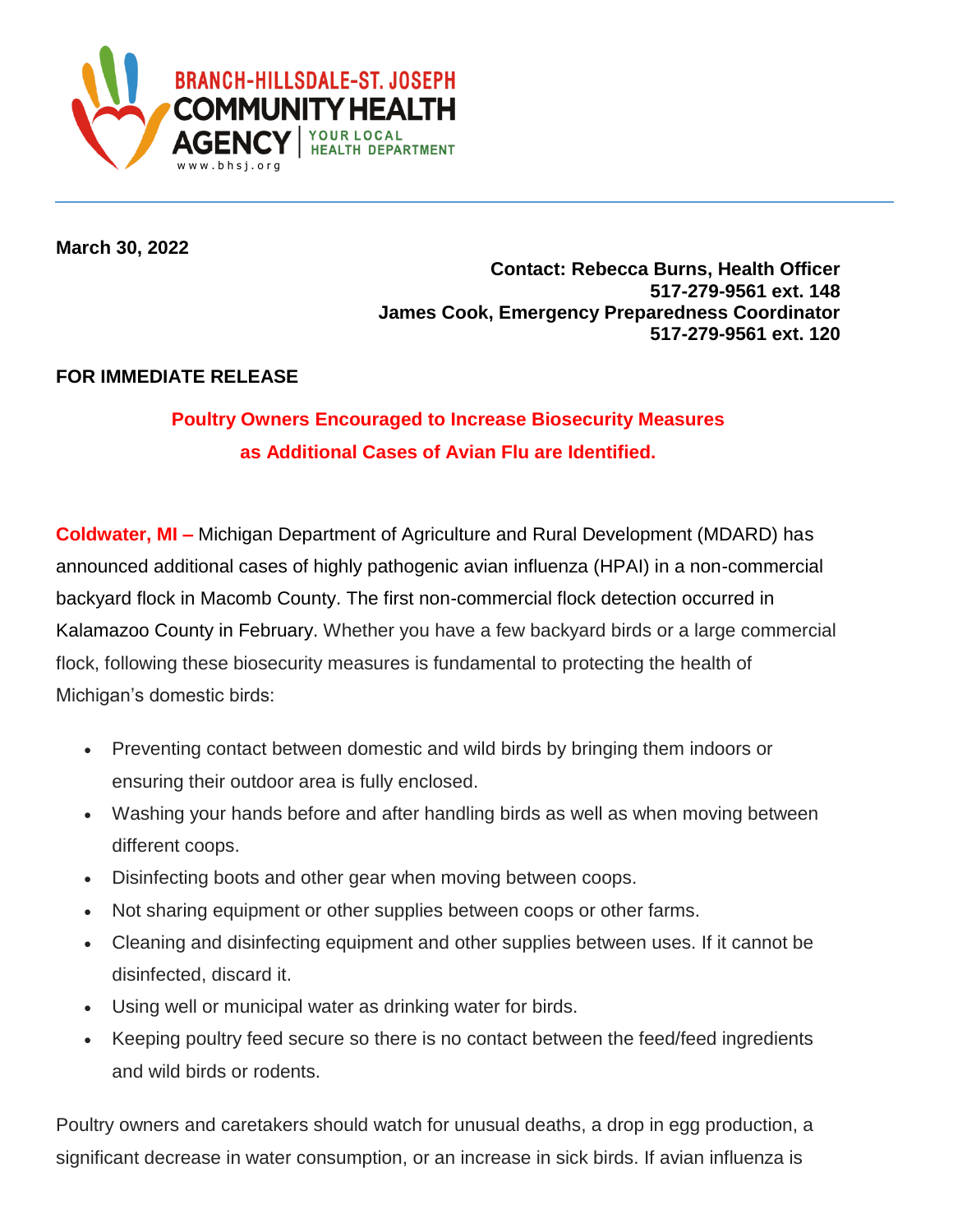

**March 30, 2022**

## **Contact: Rebecca Burns, Health Officer 517-279-9561 ext. 148 James Cook, Emergency Preparedness Coordinator 517-279-9561 ext. 120**

## **FOR IMMEDIATE RELEASE**

## **Poultry Owners Encouraged to Increase Biosecurity Measures as Additional Cases of Avian Flu are Identified.**

**Coldwater, MI –** Michigan Department of Agriculture and Rural Development (MDARD) has announced additional cases of highly pathogenic avian influenza (HPAI) in a non-commercial backyard flock in Macomb County. The first non-commercial flock detection occurred in Kalamazoo County in February. Whether you have a few backyard birds or a large commercial flock, following these biosecurity measures is fundamental to protecting the health of Michigan's domestic birds:

- Preventing contact between domestic and wild birds by bringing them indoors or ensuring their outdoor area is fully enclosed.
- Washing your hands before and after handling birds as well as when moving between different coops.
- Disinfecting boots and other gear when moving between coops.
- Not sharing equipment or other supplies between coops or other farms.
- Cleaning and disinfecting equipment and other supplies between uses. If it cannot be disinfected, discard it.
- Using well or municipal water as drinking water for birds.
- Keeping poultry feed secure so there is no contact between the feed/feed ingredients and wild birds or rodents.

Poultry owners and caretakers should watch for unusual deaths, a drop in egg production, a significant decrease in water consumption, or an increase in sick birds. If avian influenza is